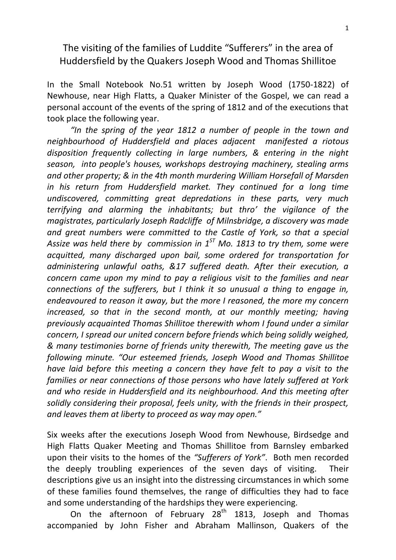## The visiting of the families of Luddite "Sufferers" in the area of Huddersfield by the Quakers Joseph Wood and Thomas Shillitoe

In the Small Notebook No.51 written by Joseph Wood (1750-1822) of Newhouse, near High Flatts, a Quaker Minister of the Gospel, we can read a personal account of the events of the spring of 1812 and of the executions that took place the following year.

 *"In the spring of the year 1812 a number of people in the town and neighbourhood of Huddersfield and places adjacent manifested a riotous disposition frequently collecting in large numbers, & entering in the night season, into people's houses, workshops destroying machinery, stealing arms and other property; & in the 4th month murdering William Horsefall of Marsden in his return from Huddersfield market. They continued for a long time undiscovered, committing great depredations in these parts, very much terrifying and alarming the inhabitants; but thro' the vigilance of the magistrates, particularly Joseph Radcliffe of Milnsbridge, a discovery was made and great numbers were committed to the Castle of York, so that a special Assize was held there by commission in 1ST Mo. 1813 to try them, some were acquitted, many discharged upon bail, some ordered for transportation for administering unlawful oaths, &17 suffered death. After their execution, a concern came upon my mind to pay a religious visit to the families and near connections of the sufferers, but I think it so unusual a thing to engage in, endeavoured to reason it away, but the more I reasoned, the more my concern*  increased, so that in the second month, at our monthly meeting; having *previously acquainted Thomas Shillitoe therewith whom I found under a similar concern, I spread our united concern before friends which being solidly weighed, & many testimonies borne of friends unity therewith, The meeting gave us the following minute. "Our esteemed friends, Joseph Wood and Thomas Shillitoe have laid before this meeting a concern they have felt to pay a visit to the families or near connections of those persons who have lately suffered at York and who reside in Huddersfield and its neighbourhood. And this meeting after solidly considering their proposal, feels unity, with the friends in their prospect, and leaves them at liberty to proceed as way may open."*

Six weeks after the executions Joseph Wood from Newhouse, Birdsedge and High Flatts Quaker Meeting and Thomas Shillitoe from Barnsley embarked upon their visits to the homes of the *"Sufferers of York"*. Both men recorded the deeply troubling experiences of the seven days of visiting. Their descriptions give us an insight into the distressing circumstances in which some of these families found themselves, the range of difficulties they had to face and some understanding of the hardships they were experiencing.

On the afternoon of February  $28<sup>th</sup>$  1813, Joseph and Thomas accompanied by John Fisher and Abraham Mallinson, Quakers of the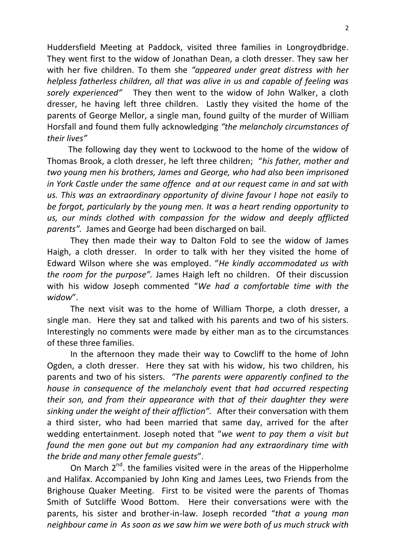Huddersfield Meeting at Paddock, visited three families in Longroydbridge. They went first to the widow of Jonathan Dean, a cloth dresser. They saw her with her five children. To them she *"appeared under great distress with her helpless fatherless children, all that was alive in us and capable of feeling was sorely experienced"* They then went to the widow of John Walker, a cloth dresser, he having left three children. Lastly they visited the home of the parents of George Mellor, a single man, found guilty of the murder of William Horsfall and found them fully acknowledging *"the melancholy circumstances of their lives"*

 The following day they went to Lockwood to the home of the widow of Thomas Brook, a cloth dresser, he left three children; "*his father, mother and two young men his brothers, James and George, who had also been imprisoned in York Castle under the same offence and at our request came in and sat with us. This was an extraordinary opportunity of divine favour I hope not easily to be forgot, particularly by the young men. It was a heart rending opportunity to us, our minds clothed with compassion for the widow and deeply afflicted parents".* James and George had been discharged on bail.

 They then made their way to Dalton Fold to see the widow of James Haigh, a cloth dresser. In order to talk with her they visited the home of Edward Wilson where she was employed. "*He kindly accommodated us with the room for the purpose".* James Haigh left no children. Of their discussion with his widow Joseph commented "*We had a comfortable time with the widow*".

 The next visit was to the home of William Thorpe, a cloth dresser, a single man. Here they sat and talked with his parents and two of his sisters. Interestingly no comments were made by either man as to the circumstances of these three families.

 In the afternoon they made their way to Cowcliff to the home of John Ogden, a cloth dresser. Here they sat with his widow, his two children, his parents and two of his sisters. *"The parents were apparently confined to the house in consequence of the melancholy event that had occurred respecting their son, and from their appearance with that of their daughter they were sinking under the weight of their affliction".* After their conversation with them a third sister, who had been married that same day, arrived for the after wedding entertainment. Joseph noted that "*we went to pay them a visit but found the men gone out but my companion had any extraordinary time with the bride and many other female guests*".

On March  $2^{nd}$ . the families visited were in the areas of the Hipperholme and Halifax. Accompanied by John King and James Lees, two Friends from the Brighouse Quaker Meeting. First to be visited were the parents of Thomas Smith of Sutcliffe Wood Bottom. Here their conversations were with the parents, his sister and brother-in-law. Joseph recorded "*that a young man neighbour came in As soon as we saw him we were both of us much struck with*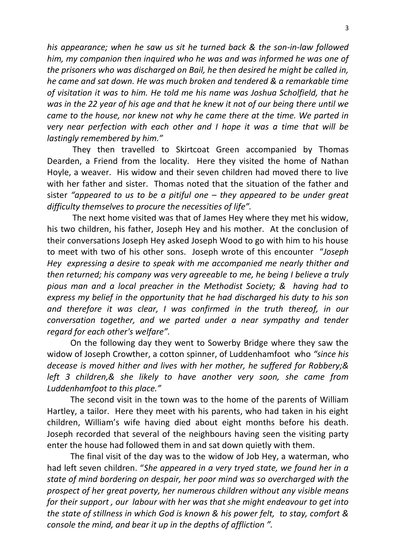*his appearance; when he saw us sit he turned back & the son-in-law followed him, my companion then inquired who he was and was informed he was one of the prisoners who was discharged on Bail, he then desired he might be called in, he came and sat down. He was much broken and tendered & a remarkable time of visitation it was to him. He told me his name was Joshua Scholfield, that he was in the 22 year of his age and that he knew it not of our being there until we came to the house, nor knew not why he came there at the time. We parted in very near perfection with each other and I hope it was a time that will be lastingly remembered by him."*

 They then travelled to Skirtcoat Green accompanied by Thomas Dearden, a Friend from the locality. Here they visited the home of Nathan Hoyle, a weaver. His widow and their seven children had moved there to live with her father and sister. Thomas noted that the situation of the father and sister *"appeared to us to be a pitiful one – they appeared to be under great difficulty themselves to procure the necessities of life".*

 The next home visited was that of James Hey where they met his widow, his two children, his father, Joseph Hey and his mother. At the conclusion of their conversations Joseph Hey asked Joseph Wood to go with him to his house to meet with two of his other sons. Joseph wrote of this encounter "*Joseph Hey expressing a desire to speak with me accompanied me nearly thither and then returned; his company was very agreeable to me, he being I believe a truly pious man and a local preacher in the Methodist Society; & having had to express my belief in the opportunity that he had discharged his duty to his son and therefore it was clear, I was confirmed in the truth thereof, in our conversation together, and we parted under a near sympathy and tender regard for each other's welfare".*

 On the following day they went to Sowerby Bridge where they saw the widow of Joseph Crowther, a cotton spinner, of Luddenhamfoot who *"since his decease is moved hither and lives with her mother, he suffered for Robbery;& left 3 children,& she likely to have another very soon, she came from Luddenhamfoot to this place."* 

 The second visit in the town was to the home of the parents of William Hartley, a tailor. Here they meet with his parents, who had taken in his eight children, William's wife having died about eight months before his death. Joseph recorded that several of the neighbours having seen the visiting party enter the house had followed them in and sat down quietly with them.

 The final visit of the day was to the widow of Job Hey, a waterman, who had left seven children. "*She appeared in a very tryed state, we found her in a state of mind bordering on despair, her poor mind was so overcharged with the prospect of her great poverty, her numerous children without any visible means for their support , our labour with her was that she might endeavour to get into the state of stillness in which God is known & his power felt, to stay, comfort & console the mind, and bear it up in the depths of affliction ".*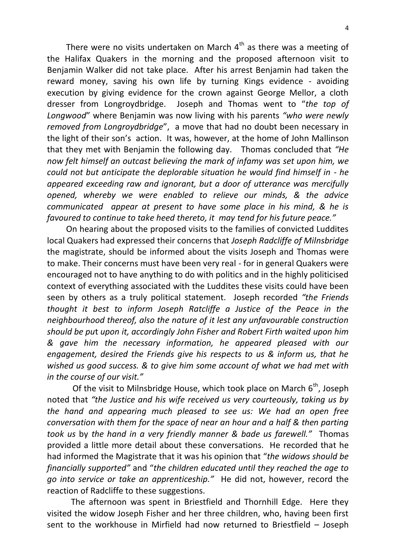There were no visits undertaken on March  $4<sup>th</sup>$  as there was a meeting of the Halifax Quakers in the morning and the proposed afternoon visit to Benjamin Walker did not take place. After his arrest Benjamin had taken the reward money, saving his own life by turning Kings evidence - avoiding execution by giving evidence for the crown against George Mellor, a cloth dresser from Longroydbridge. Joseph and Thomas went to "*the top of Longwood*" where Benjamin was now living with his parents *"who were newly removed from Longroydbridge*", a move that had no doubt been necessary in the light of their son's action. It was, however, at the home of John Mallinson that they met with Benjamin the following day.Thomas concluded that *"He now felt himself an outcast believing the mark of infamy was set upon him, we could not but anticipate the deplorable situation he would find himself in - he appeared exceeding raw and ignorant, but a door of utterance was mercifully opened, whereby we were enabled to relieve our minds, & the advice communicated appear at present to have some place in his mind, & he is favoured to continue to take heed thereto, it may tend for his future peace."*

 On hearing about the proposed visits to the families of convicted Luddites local Quakers had expressed their concerns that *Joseph Radcliffe of Milnsbridge* the magistrate, should be informed about the visits Joseph and Thomas were to make. Their concerns must have been very real - for in general Quakers were encouraged not to have anything to do with politics and in the highly politicised context of everything associated with the Luddites these visits could have been seen by others as a truly political statement. Joseph recorded *"the Friends thought it best to inform Joseph Ratcliffe a Justice of the Peace in the neighbourhood thereof, also the nature of it lest any unfavourable construction should be pu*t *upon it, accordingly John Fisher and Robert Firth waited upon him & gave him the necessary information, he appeared pleased with our engagement, desired the Friends give his respects to us & inform us, that he wished us good success. & to give him some account of what we had met with in the course of our visit."*

Of the visit to Milnsbridge House, which took place on March  $6<sup>th</sup>$ , Joseph noted that *"the Justice and his wife received us very courteously, taking us by the hand and appearing much pleased to see us: We had an open free conversation with them for the space of near an hour and a half & then parting took us* by *the hand in a very friendly manner & bade us farewell."* Thomas provided a little more detail about these conversations. He recorded that he had informed the Magistrate that it was his opinion that "*the widows should be financially supported"* and "*the children educated until they reached the age to go into service or take an apprenticeship."* He did not, however, record the reaction of Radcliffe to these suggestions.

The afternoon was spent in Briestfield and Thornhill Edge. Here they visited the widow Joseph Fisher and her three children, who, having been first sent to the workhouse in Mirfield had now returned to Briestfield – Joseph